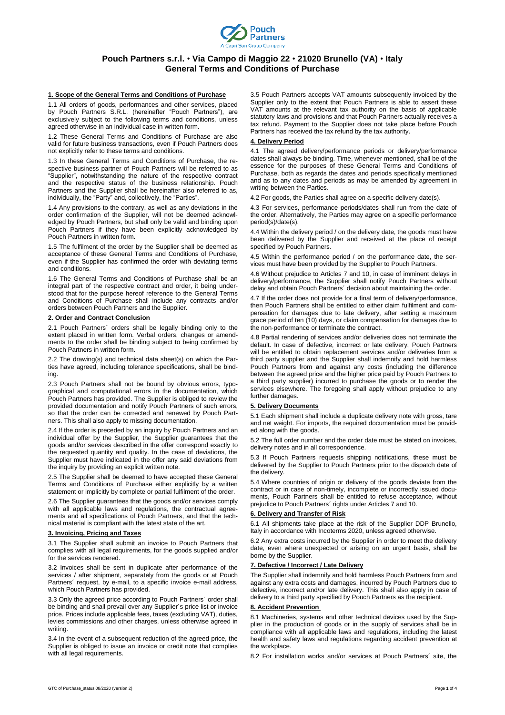

# **Pouch Partners s.r.l.** • **Via Campo di Maggio 22** • **21020 Brunello (VA)** • **Italy General Terms and Conditions of Purchase**

#### **1. Scope of the General Terms and Conditions of Purchase**

1.1 All orders of goods, performances and other services, placed by Pouch Partners S.R.L. (hereinafter "Pouch Partners"), are exclusively subject to the following terms and conditions, unless agreed otherwise in an individual case in written form.

1.2 These General Terms and Conditions of Purchase are also valid for future business transactions, even if Pouch Partners does not explicitly refer to these terms and conditions.

1.3 In these General Terms and Conditions of Purchase, the respective business partner of Pouch Partners will be referred to as "Supplier", notwithstanding the nature of the respective contract and the respective status of the business relationship. Pouch Partners and the Supplier shall be hereinafter also referred to as, individually, the "Party" and, collectively, the "Parties".

1.4 Any provisions to the contrary, as well as any deviations in the order confirmation of the Supplier, will not be deemed acknowledged by Pouch Partners, but shall only be valid and binding upon Pouch Partners if they have been explicitly acknowledged by Pouch Partners in written form.

1.5 The fulfilment of the order by the Supplier shall be deemed as acceptance of these General Terms and Conditions of Purchase, even if the Supplier has confirmed the order with deviating terms and conditions.

1.6 The General Terms and Conditions of Purchase shall be an integral part of the respective contract and order, it being understood that for the purpose hereof reference to the General Terms and Conditions of Purchase shall include any contracts and/or orders between Pouch Partners and the Supplier.

# **2. Order and Contract Conclusion**

2.1 Pouch Partners´ orders shall be legally binding only to the extent placed in written form. Verbal orders, changes or amendments to the order shall be binding subject to being confirmed by Pouch Partners in written form.

2.2 The drawing(s) and technical data sheet(s) on which the Parties have agreed, including tolerance specifications, shall be binding.

2.3 Pouch Partners shall not be bound by obvious errors, typographical and computational errors in the documentation, which Pouch Partners has provided. The Supplier is obliged to review the provided documentation and notify Pouch Partners of such errors, so that the order can be corrected and renewed by Pouch Partners. This shall also apply to missing documentation.

2.4 If the order is preceded by an inquiry by Pouch Partners and an individual offer by the Supplier, the Supplier guarantees that the goods and/or services described in the offer correspond exactly to the requested quantity and quality. In the case of deviations, the Supplier must have indicated in the offer any said deviations from the inquiry by providing an explicit written note.

2.5 The Supplier shall be deemed to have accepted these General Terms and Conditions of Purchase either explicitly by a written statement or implicitly by complete or partial fulfilment of the order.

2.6 The Supplier guarantees that the goods and/or services comply with all applicable laws and regulations, the contractual agreements and all specifications of Pouch Partners, and that the technical material is compliant with the latest state of the art.

### **3. Invoicing, Pricing and Taxes**

3.1 The Supplier shall submit an invoice to Pouch Partners that complies with all legal requirements, for the goods supplied and/or for the services rendered.

3.2 Invoices shall be sent in duplicate after performance of the services / after shipment, separately from the goods or at Pouch Partners' request, by e-mail, to a specific invoice e-mail address. which Pouch Partners has provided.

3.3 Only the agreed price according to Pouch Partners´ order shall be binding and shall prevail over any Supplier´s price list or invoice price. Prices include applicable fees, taxes (excluding VAT), duties, levies commissions and other charges, unless otherwise agreed in writing.

3.4 In the event of a subsequent reduction of the agreed price, the Supplier is obliged to issue an invoice or credit note that complies with all legal requirements.

3.5 Pouch Partners accepts VAT amounts subsequently invoiced by the Supplier only to the extent that Pouch Partners is able to assert these VAT amounts at the relevant tax authority on the basis of applicable statutory laws and provisions and that Pouch Partners actually receives a tax refund. Payment to the Supplier does not take place before Pouch Partners has received the tax refund by the tax authority.

# **4. Delivery Period**

4.1 The agreed delivery/performance periods or delivery/performance dates shall always be binding. Time, whenever mentioned, shall be of the essence for the purposes of these General Terms and Conditions of Purchase, both as regards the dates and periods specifically mentioned and as to any dates and periods as may be amended by agreement in writing between the Parties.

4.2 For goods, the Parties shall agree on a specific delivery date(s).

4.3 For services, performance periods/dates shall run from the date of the order. Alternatively, the Parties may agree on a specific performance period(s)/date(s).

4.4 Within the delivery period / on the delivery date, the goods must have been delivered by the Supplier and received at the place of receipt specified by Pouch Partners.

4.5 Within the performance period / on the performance date, the services must have been provided by the Supplier to Pouch Partners.

4.6 Without prejudice to Articles 7 and 10, in case of imminent delays in delivery/performance, the Supplier shall notify Pouch Partners without delay and obtain Pouch Partners´ decision about maintaining the order.

4.7 If the order does not provide for a final term of delivery/performance, then Pouch Partners shall be entitled to either claim fulfilment and compensation for damages due to late delivery, after setting a maximum grace period of ten (10) days, or claim compensation for damages due to the non-performance or terminate the contract.

4.8 Partial rendering of services and/or deliveries does not terminate the default. In case of defective, incorrect or late delivery, Pouch Partners will be entitled to obtain replacement services and/or deliveries from a third party supplier and the Supplier shall indemnify and hold harmless Pouch Partners from and against any costs (including the difference between the agreed price and the higher price paid by Pouch Partners to a third party supplier) incurred to purchase the goods or to render the services elsewhere. The foregoing shall apply without prejudice to any further damages.

### **5. Delivery Documents**

5.1 Each shipment shall include a duplicate delivery note with gross, tare and net weight. For imports, the required documentation must be provided along with the goods.

5.2 The full order number and the order date must be stated on invoices, delivery notes and in all correspondence.

5.3 If Pouch Partners requests shipping notifications, these must be delivered by the Supplier to Pouch Partners prior to the dispatch date of the delivery.

5.4 Where countries of origin or delivery of the goods deviate from the contract or in case of non-timely, incomplete or incorrectly issued documents, Pouch Partners shall be entitled to refuse acceptance, without prejudice to Pouch Partners´ rights under Articles 7 and 10.

#### **Delivery and Transfer of Risk**

6.1 All shipments take place at the risk of the Supplier DDP Brunello, Italy in accordance with Incoterms 2020, unless agreed otherwise.

6.2 Any extra costs incurred by the Supplier in order to meet the delivery date, even where unexpected or arising on an urgent basis, shall be borne by the Supplier.

# **7. Defective / Incorrect / Late Delivery**

The Supplier shall indemnify and hold harmless Pouch Partners from and against any extra costs and damages, incurred by Pouch Partners due to defective, incorrect and/or late delivery. This shall also apply in case of delivery to a third party specified by Pouch Partners as the recipient.

# **8. Accident Prevention**

8.1 Machineries, systems and other technical devices used by the Supplier in the production of goods or in the supply of services shall be in compliance with all applicable laws and regulations, including the latest health and safety laws and regulations regarding accident prevention at the workplace.

8.2 For installation works and/or services at Pouch Partners´ site, the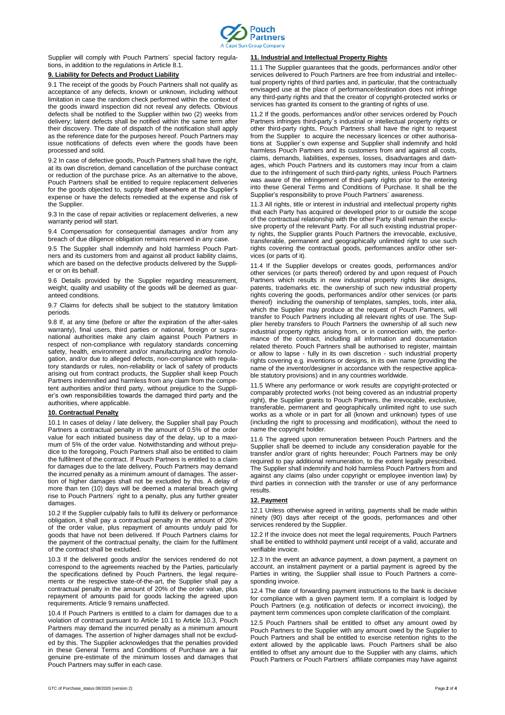

Supplier will comply with Pouch Partners´ special factory regulations, in addition to the regulations in Article 8.1.

# **9. Liability for Defects and Product Liability**

9.1 The receipt of the goods by Pouch Partners shall not qualify as acceptance of any defects, known or unknown, including without limitation in case the random check performed within the context of the goods inward inspection did not reveal any defects. Obvious defects shall be notified to the Supplier within two (2) weeks from delivery; latent defects shall be notified within the same term after their discovery. The date of dispatch of the notification shall apply as the reference date for the purposes hereof. Pouch Partners may issue notifications of defects even where the goods have been processed and sold.

9.2 In case of defective goods, Pouch Partners shall have the right, at its own discretion, demand cancellation of the purchase contract or reduction of the purchase price. As an alternative to the above, Pouch Partners shall be entitled to require replacement deliveries for the goods objected to, supply itself elsewhere at the Supplier's expense or have the defects remedied at the expense and risk of the Supplier.

9.3 In the case of repair activities or replacement deliveries, a new warranty period will start.

9.4 Compensation for consequential damages and/or from any breach of due diligence obligation remains reserved in any case.

9.5 The Supplier shall indemnify and hold harmless Pouch Partners and its customers from and against all product liability claims, which are based on the defective products delivered by the Supplier or on its behalf.

9.6 Details provided by the Supplier regarding measurement, weight, quality and usability of the goods will be deemed as guaranteed conditions.

9.7 Claims for defects shall be subject to the statutory limitation periods.

9.8 If, at any time (before or after the expiration of the after-sales warranty), final users, third parties or national, foreign or supranational authorities make any claim against Pouch Partners in respect of non-compliance with regulatory standards concerning safety, health, environment and/or manufacturing and/or homologation, and/or due to alleged defects, non-compliance with regulatory standards or rules, non-reliability or lack of safety of products arising out from contract products, the Supplier shall keep Pouch Partners indemnified and harmless from any claim from the competent authorities and/or third party, without prejudice to the Supplier's own responsibilities towards the damaged third party and the authorities, where applicable.

#### **10. Contractual Penalty**

10.1 In cases of delay / late delivery, the Supplier shall pay Pouch Partners a contractual penalty in the amount of 0.5% of the order value for each initiated business day of the delay, up to a maximum of 5% of the order value. Notwithstanding and without prejudice to the foregoing, Pouch Partners shall also be entitled to claim the fulfilment of the contract. If Pouch Partners is entitled to a claim for damages due to the late delivery, Pouch Partners may demand the incurred penalty as a minimum amount of damages. The assertion of higher damages shall not be excluded by this. A delay of more than ten (10) days will be deemed a material breach giving rise to Pouch Partners´ right to a penalty, plus any further greater damages.

10.2 If the Supplier culpably fails to fulfil its delivery or performance obligation, it shall pay a contractual penalty in the amount of 20% of the order value, plus repayment of amounts unduly paid for goods that have not been delivered. If Pouch Partners claims for the payment of the contractual penalty, the claim for the fulfilment of the contract shall be excluded.

10.3 If the delivered goods and/or the services rendered do not correspond to the agreements reached by the Parties, particularly the specifications defined by Pouch Partners, the legal requirements or the respective state-of-the-art, the Supplier shall pay a contractual penalty in the amount of 20% of the order value, plus repayment of amounts paid for goods lacking the agreed upon requirements. Article 9 remains unaffected.

10.4 If Pouch Partners is entitled to a claim for damages due to a violation of contract pursuant to Article 10.1 to Article 10.3, Pouch Partners may demand the incurred penalty as a minimum amount of damages. The assertion of higher damages shall not be excluded by this. The Supplier acknowledges that the penalties provided in these General Terms and Conditions of Purchase are a fair genuine pre-estimate of the minimum losses and damages that Pouch Partners may suffer in each case.

#### **11. Industrial and Intellectual Property Rights**

11.1 The Supplier guarantees that the goods, performances and/or other services delivered to Pouch Partners are free from industrial and intellectual property rights of third parties and, in particular, that the contractually envisaged use at the place of performance/destination does not infringe any third-party rights and that the creator of copyright-protected works or services has granted its consent to the granting of rights of use

11.2 If the goods, performances and/or other services ordered by Pouch Partners infringes third-party´s industrial or intellectual property rights or other third-party rights, Pouch Partners shall have the right to request from the Supplier to acquire the necessary licences or other authorisations at Supplier´s own expense and Supplier shall indemnify and hold harmless Pouch Partners and its customers from and against all costs, claims, demands, liabilities, expenses, losses, disadvantages and damages, which Pouch Partners and its customers may incur from a claim due to the infringement of such third-party rights, unless Pouch Partners was aware of the infringement of third-party rights prior to the entering into these General Terms and Conditions of Purchase. It shall be the Supplier's responsibility to prove Pouch Partners' awareness

11.3 All rights, title or interest in industrial and intellectual property rights that each Party has acquired or developed prior to or outside the scope of the contractual relationship with the other Party shall remain the exclusive property of the relevant Party. For all such existing industrial property rights, the Supplier grants Pouch Partners the irrevocable, exclusive, transferable, permanent and geographically unlimited right to use such rights covering the contractual goods, performances and/or other services (or parts of it).

11.4 If the Supplier develops or creates goods, performances and/or other services (or parts thereof) ordered by and upon request of Pouch Partners which results in new industrial property rights like designs, patents, trademarks etc. the ownership of such new industrial property rights covering the goods, performances and/or other services (or parts thereof) including the ownership of templates, samples, tools, inter alia, which the Supplier may produce at the request of Pouch Partners, will transfer to Pouch Partners including all relevant rights of use. The Supplier hereby transfers to Pouch Partners the ownership of all such new industrial property rights arising from, or in connection with, the performance of the contract, including all information and documentation related thereto. Pouch Partners shall be authorised to register, maintain or allow to lapse - fully in its own discretion - such industrial property rights covering e.g. inventions or designs, in its own name (providing the name of the inventor/designer in accordance with the respective applicable statutory provisions) and in any countries worldwide.

11.5 Where any performance or work results are copyright-protected or comparably protected works (not being covered as an industrial property right), the Supplier grants to Pouch Partners, the irrevocable, exclusive, transferable, permanent and geographically unlimited right to use such works as a whole or in part for all (known and unknown) types of use (including the right to processing and modification), without the need to name the copyright holder.

11.6 The agreed upon remuneration between Pouch Partners and the Supplier shall be deemed to include any consideration payable for the transfer and/or grant of rights hereunder; Pouch Partners may be only required to pay additional remuneration, to the extent legally prescribed. The Supplier shall indemnify and hold harmless Pouch Partners from and against any claims (also under copyright or employee invention law) by third parties in connection with the transfer or use of any performance results.

### **12. Payment**

12.1 Unless otherwise agreed in writing, payments shall be made within ninety (90) days after receipt of the goods, performances and other services rendered by the Supplier.

12.2 If the invoice does not meet the legal requirements, Pouch Partners shall be entitled to withhold payment until receipt of a valid, accurate and verifiable invoice.

12.3 In the event an advance payment, a down payment, a payment on account, an instalment payment or a partial payment is agreed by the Parties in writing, the Supplier shall issue to Pouch Partners a corresponding invoice.

12.4 The date of forwarding payment instructions to the bank is decisive for compliance with a given payment term. If a complaint is lodged by Pouch Partners (e.g. notification of defects or incorrect invoicing), the payment term commences upon complete clarification of the complaint.

12.5 Pouch Partners shall be entitled to offset any amount owed by Pouch Partners to the Supplier with any amount owed by the Supplier to Pouch Partners and shall be entitled to exercise retention rights to the extent allowed by the applicable laws. Pouch Partners shall be also entitled to offset any amount due to the Supplier with any claims, which Pouch Partners or Pouch Partners´ affiliate companies may have against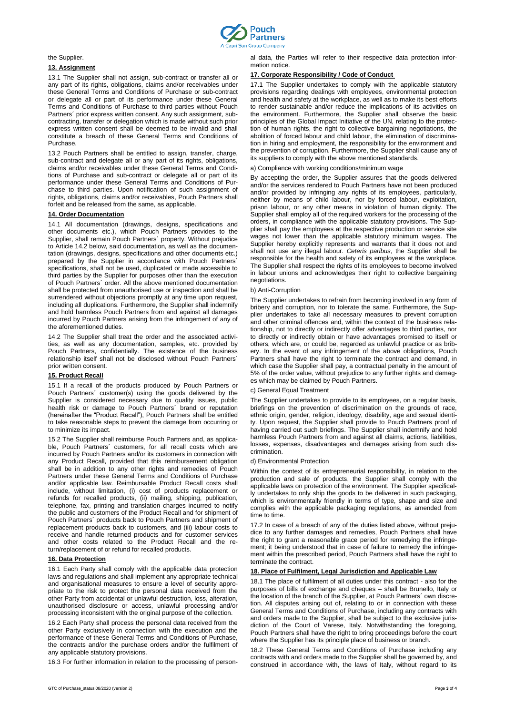

#### the Supplier.

### **13. Assignment**

13.1 The Supplier shall not assign, sub-contract or transfer all or any part of its rights, obligations, claims and/or receivables under these General Terms and Conditions of Purchase or sub-contract or delegate all or part of its performance under these General Terms and Conditions of Purchase to third parties without Pouch Partners´ prior express written consent. Any such assignment, subcontracting, transfer or delegation which is made without such prior express written consent shall be deemed to be invalid and shall constitute a breach of these General Terms and Conditions of Purchase.

13.2 Pouch Partners shall be entitled to assign, transfer, charge, sub-contract and delegate all or any part of its rights, obligations, claims and/or receivables under these General Terms and Conditions of Purchase and sub-contract or delegate all or part of its performance under these General Terms and Conditions of Purchase to third parties. Upon notification of such assignment of rights, obligations, claims and/or receivables, Pouch Partners shall forfeit and be released from the same, as applicable.

#### **14. Order Documentation**

14.1 All documentation (drawings, designs, specifications and other documents etc.), which Pouch Partners provides to the Supplier, shall remain Pouch Partners´ property. Without prejudice to Article 14.2 below, said documentation, as well as the documentation (drawings, designs, specifications and other documents etc.) prepared by the Supplier in accordance with Pouch Partners´ specifications, shall not be used, duplicated or made accessible to third parties by the Supplier for purposes other than the execution of Pouch Partners´ order. All the above mentioned documentation shall be protected from unauthorised use or inspection and shall be surrendered without objections promptly at any time upon request, including all duplications. Furthermore, the Supplier shall indemnify and hold harmless Pouch Partners from and against all damages incurred by Pouch Partners arising from the infringement of any of the aforementioned duties.

14.2 The Supplier shall treat the order and the associated activities, as well as any documentation, samples, etc. provided by Pouch Partners, confidentially. The existence of the business relationship itself shall not be disclosed without Pouch Partners´ prior written consent.

#### **15. Product Recall**

15.1 If a recall of the products produced by Pouch Partners or Pouch Partners´ customer(s) using the goods delivered by the Supplier is considered necessary due to quality issues, public health risk or damage to Pouch Partners´ brand or reputation (hereinafter the "Product Recall"), Pouch Partners shall be entitled to take reasonable steps to prevent the damage from occurring or to minimize its impact.

15.2 The Supplier shall reimburse Pouch Partners and, as applicable, Pouch Partners' customers, for all recall costs which are incurred by Pouch Partners and/or its customers in connection with any Product Recall, provided that this reimbursement obligation shall be in addition to any other rights and remedies of Pouch Partners under these General Terms and Conditions of Purchase and/or applicable law. Reimbursable Product Recall costs shall include, without limitation, (i) cost of products replacement or refunds for recalled products, (ii) mailing, shipping, publication, telephone, fax, printing and translation charges incurred to notify the public and customers of the Product Recall and for shipment of Pouch Partners´ products back to Pouch Partners and shipment of replacement products back to customers, and (iii) labour costs to receive and handle returned products and for customer services and other costs related to the Product Recall and the return/replacement of or refund for recalled products.

#### **16. Data Protection**

16.1 Each Party shall comply with the applicable data protection laws and regulations and shall implement any appropriate technical and organisational measures to ensure a level of security appropriate to the risk to protect the personal data received from the other Party from accidental or unlawful destruction, loss, alteration, unauthorised disclosure or access, unlawful processing and/or processing inconsistent with the original purpose of the collection.

16.2 Each Party shall process the personal data received from the other Party exclusively in connection with the execution and the performance of these General Terms and Conditions of Purchase, the contracts and/or the purchase orders and/or the fulfilment of any applicable statutory provisions.

16.3 For further information in relation to the processing of person-

al data, the Parties will refer to their respective data protection information notice.

#### **17. Corporate Responsibility / Code of Conduct**

17.1 The Supplier undertakes to comply with the applicable statutory provisions regarding dealings with employees, environmental protection and health and safety at the workplace, as well as to make its best efforts to render sustainable and/or reduce the implications of its activities on the environment. Furthermore, the Supplier shall observe the basic principles of the Global Impact Initiative of the UN, relating to the protection of human rights, the right to collective bargaining negotiations, the abolition of forced labour and child labour, the elimination of discrimination in hiring and employment, the responsibility for the environment and the prevention of corruption. Furthermore, the Supplier shall cause any of its suppliers to comply with the above mentioned standards.

a) Compliance with working conditions/minimum wage

By accepting the order, the Supplier assures that the goods delivered and/or the services rendered to Pouch Partners have not been produced and/or provided by infringing any rights of its employees, particularly, neither by means of child labour, nor by forced labour, exploitation, prison labour, or any other means in violation of human dignity. The Supplier shall employ all of the required workers for the processing of the orders, in compliance with the applicable statutory provisions. The Supplier shall pay the employees at the respective production or service site wages not lower than the applicable statutory minimum wages. The Supplier hereby explicitly represents and warrants that it does not and shall not use any illegal labour. *Ceteris paribus*, the Supplier shall be responsible for the health and safety of its employees at the workplace. The Supplier shall respect the rights of its employees to become involved in labour unions and acknowledges their right to collective bargaining negotiations.

#### b) Anti-Corruption

The Supplier undertakes to refrain from becoming involved in any form of bribery and corruption, nor to tolerate the same. Furthermore, the Supplier undertakes to take all necessary measures to prevent corruption and other criminal offences and, within the context of the business relationship, not to directly or indirectly offer advantages to third parties, nor to directly or indirectly obtain or have advantages promised to itself or others, which are, or could be, regarded as unlawful practice or as bribery. In the event of any infringement of the above obligations, Pouch Partners shall have the right to terminate the contract and demand, in which case the Supplier shall pay, a contractual penalty in the amount of 5% of the order value, without prejudice to any further rights and damages which may be claimed by Pouch Partners.

#### c) General Equal Treatment

The Supplier undertakes to provide to its employees, on a regular basis, briefings on the prevention of discrimination on the grounds of race, ethnic origin, gender, religion, ideology, disability, age and sexual identity. Upon request, the Supplier shall provide to Pouch Partners proof of having carried out such briefings. The Supplier shall indemnify and hold harmless Pouch Partners from and against all claims, actions, liabilities, losses, expenses, disadvantages and damages arising from such discrimination.

#### d) Environmental Protection

Within the context of its entrepreneurial responsibility, in relation to the production and sale of products, the Supplier shall comply with the applicable laws on protection of the environment. The Supplier specifically undertakes to only ship the goods to be delivered in such packaging, which is environmentally friendly in terms of type, shape and size and complies with the applicable packaging regulations, as amended from time to time.

17.2 In case of a breach of any of the duties listed above, without prejudice to any further damages and remedies, Pouch Partners shall have the right to grant a reasonable grace period for remedying the infringement; it being understood that in case of failure to remedy the infringement within the prescribed period, Pouch Partners shall have the right to terminate the contract.

# **18. Place of Fulfilment, Legal Jurisdiction and Applicable Law**

18.1 The place of fulfilment of all duties under this contract - also for the purposes of bills of exchange and cheques – shall be Brunello, Italy or the location of the branch of the Supplier, at Pouch Partners´ own discretion. All disputes arising out of, relating to or in connection with these General Terms and Conditions of Purchase, including any contracts with and orders made to the Supplier, shall be subject to the exclusive jurisdiction of the Court of Varese, Italy. Notwithstanding the foregoing, Pouch Partners shall have the right to bring proceedings before the court where the Supplier has its principle place of business or branch.

18.2 These General Terms and Conditions of Purchase including any contracts with and orders made to the Supplier shall be governed by, and construed in accordance with, the laws of Italy, without regard to its